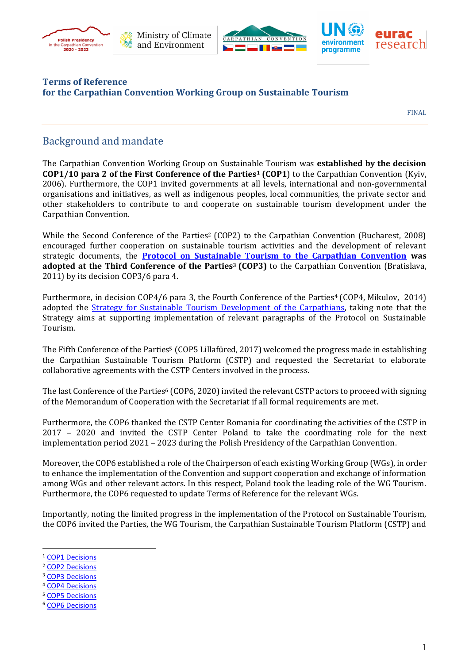





#### **Terms of Reference for the Carpathian Convention Working Group on Sustainable Tourism**

FINAL

### Background and mandate

The Carpathian Convention Working Group on Sustainable Tourism was **established by the decision COP1/10 para 2 of the First Conference of the Parties<sup>1</sup> (COP1**) to the Carpathian Convention (Kyiv, 2006). Furthermore, the COP1 invited governments at all levels, international and non-governmental organisations and initiatives, as well as indigenous peoples, local communities, the private sector and other stakeholders to contribute to and cooperate on sustainable tourism development under the Carpathian Convention.

While the Second Conference of the Parties<sup>2</sup> (COP2) to the Carpathian Convention (Bucharest, 2008) encouraged further cooperation on sustainable tourism activities and the development of relevant strategic documents, the **[Protocol on Sustainable Tourism to the Carpathian Convention](http://www.carpathianconvention.org/tl_files/carpathiancon/Downloads/01%20The%20Convention/Protocols%20in%20pdf/Protocol%20on%20Sustainable%20Tourism_adopted.pdf) was adopted at the Third Conference of the Parties<sup>3</sup> (COP3)** to the Carpathian Convention (Bratislava, 2011) by its decision COP3/6 para 4.

Furthermore, in decision COP4/6 para 3, the Fourth Conference of the Parties<sup>4</sup> (COP4, Mikulov, 2014) adopted the [Strategy for Sustainable Tourism Development of the Carpathians,](http://www.carpathianconvention.org/tl_files/carpathiancon/Downloads/03%20Meetings%20and%20Events/Working%20Groups/Sustainable%20Tourism/Carpathians-tourism-strategy.pdf) taking note that the Strategy aims at supporting implementation of relevant paragraphs of the Protocol on Sustainable Tourism.

The Fifth Conference of the Parties <sup>5</sup> (COP5 Lillafüred, 2017) welcomed the progress made in establishing the Carpathian Sustainable Tourism Platform (CSTP) and requested the Secretariat to elaborate collaborative agreements with the CSTP Centers involved in the process.

The last Conference of the Parties<sup>6</sup> (COP6, 2020) invited the relevant CSTP actors to proceed with signing of the Memorandum of Cooperation with the Secretariat if all formal requirements are met.

Furthermore, the COP6 thanked the CSTP Center Romania for coordinating the activities of the CSTP in 2017 – 2020 and invited the CSTP Center Poland to take the coordinating role for the next implementation period 2021 – 2023 during the Polish Presidency of the Carpathian Convention.

Moreover, the COP6 established a role of the Chairperson of each existing Working Group (WGs), in order to enhance the implementation of the Convention and support cooperation and exchange of information among WGs and other relevant actors. In this respect, Poland took the leading role of the WG Tourism. Furthermore, the COP6 requested to update Terms of Reference for the relevant WGs.

Importantly, noting the limited progress in the implementation of the Protocol on Sustainable Tourism, the COP6 invited the Parties, the WG Tourism, the Carpathian Sustainable Tourism Platform (CSTP) and

- <sup>2</sup> [COP2 Decisions](http://www.carpathianconvention.org/tl_files/carpathiancon/Downloads/01%20The%20Convention/1.1.3.2%20COP2%20-%20DECISIONS%20with%20Annexes%20-%20FINAL.pdf)
- <sup>3</sup> COP3 Decisions
- <sup>4</sup> [COP4 Decisions](http://www.carpathianconvention.org/tl_files/carpathiancon/Downloads/03%20Meetings%20and%20Events/COP/2014_COP4_Mikulov/Follow%20Up/COP4%20DECISIONS_FINAL_26September.pdf)
- <sup>5</sup> [COP5 Decisions](http://www.carpathianconvention.org/tl_files/carpathiancon/Downloads/01%20The%20Convention/COP5%20DECISIONS_FINAL_12%20Oct%202017-ADOPTED.pdf)
- <sup>6</sup> [COP6 Decisions](http://www.carpathianconvention.org/tl_files/carpathiancon/Downloads/03%20Meetings%20and%20Events/COP/2020_COP6_Online/CC%20COP6%20DOC3COP6%20DECISIONS%20FINAL%20ADOPTED.pdf)

<sup>&</sup>lt;sup>1</sup> [COP1 Decisions](http://www.carpathianconvention.org/tl_files/carpathiancon/Downloads/01%20The%20Convention/1.1.3.1%20FINAL%20COP1%20DECISIONS.pdf)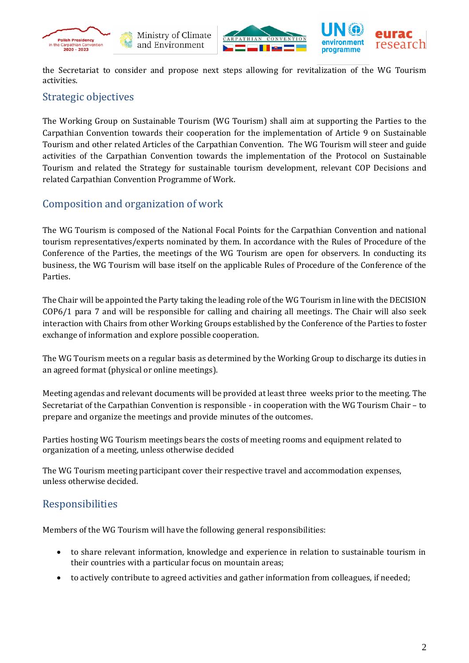







the Secretariat to consider and propose next steps allowing for revitalization of the WG Tourism activities.

#### Strategic objectives

The Working Group on Sustainable Tourism (WG Tourism) shall aim at supporting the Parties to the Carpathian Convention towards their cooperation for the implementation of Article 9 on Sustainable Tourism and other related Articles of the Carpathian Convention. The WG Tourism will steer and guide activities of the Carpathian Convention towards the implementation of the Protocol on Sustainable Tourism and related the Strategy for sustainable tourism development, relevant COP Decisions and related Carpathian Convention Programme of Work.

### Composition and organization of work

The WG Tourism is composed of the National Focal Points for the Carpathian Convention and national tourism representatives/experts nominated by them. In accordance with the Rules of Procedure of the Conference of the Parties, the meetings of the WG Tourism are open for observers. In conducting its business, the WG Tourism will base itself on the applicable Rules of Procedure of the Conference of the Parties.

The Chair will be appointed the Party taking the leading role of the WG Tourism in line with the DECISION COP6/1 para 7 and will be responsible for calling and chairing all meetings. The Chair will also seek interaction with Chairs from other Working Groups established by the Conference of the Parties to foster exchange of information and explore possible cooperation.

The WG Tourism meets on a regular basis as determined by the Working Group to discharge its duties in an agreed format (physical or online meetings).

Meeting agendas and relevant documents will be provided at least three weeks prior to the meeting. The Secretariat of the Carpathian Convention is responsible - in cooperation with the WG Tourism Chair – to prepare and organize the meetings and provide minutes of the outcomes.

Parties hosting WG Tourism meetings bears the costs of meeting rooms and equipment related to organization of a meeting, unless otherwise decided

The WG Tourism meeting participant cover their respective travel and accommodation expenses, unless otherwise decided.

# Responsibilities

Members of the WG Tourism will have the following general responsibilities:

- to share relevant information, knowledge and experience in relation to sustainable tourism in their countries with a particular focus on mountain areas;
- to actively contribute to agreed activities and gather information from colleagues, if needed;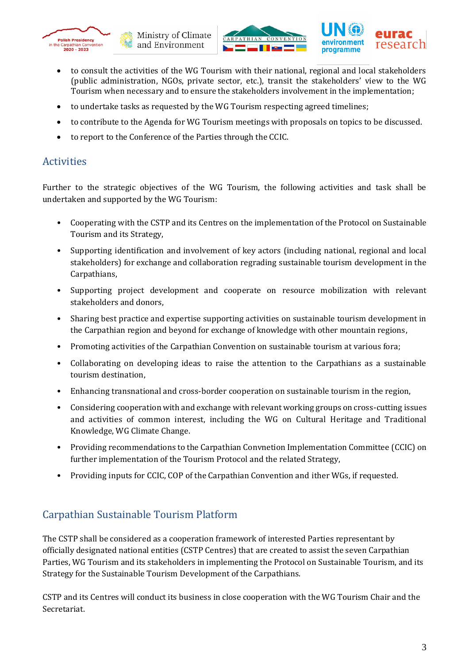





- to undertake tasks as requested by the WG Tourism respecting agreed timelines;
- to contribute to the Agenda for WG Tourism meetings with proposals on topics to be discussed.
- to report to the Conference of the Parties through the CCIC.

### **Activities**

Further to the strategic objectives of the WG Tourism, the following activities and task shall be undertaken and supported by the WG Tourism:

- Cooperating with the CSTP and its Centres on the implementation of the Protocol on Sustainable Tourism and its Strategy,
- Supporting identification and involvement of key actors (including national, regional and local stakeholders) for exchange and collaboration regrading sustainable tourism development in the Carpathians,
- Supporting project development and cooperate on resource mobilization with relevant stakeholders and donors,
- Sharing best practice and expertise supporting activities on sustainable tourism development in the Carpathian region and beyond for exchange of knowledge with other mountain regions,
- Promoting activities of the Carpathian Convention on sustainable tourism at various fora;
- Collaborating on developing ideas to raise the attention to the Carpathians as a sustainable tourism destination,
- Enhancing transnational and cross-border cooperation on sustainable tourism in the region,
- Considering cooperation with and exchange with relevant working groups on cross-cutting issues and activities of common interest, including the WG on Cultural Heritage and Traditional Knowledge, WG Climate Change.
- Providing recommendations to the Carpathian Convnetion Implementation Committee (CCIC) on further implementation of the Tourism Protocol and the related Strategy,
- Providing inputs for CCIC, COP of the Carpathian Convention and ither WGs, if requested.

# Carpathian Sustainable Tourism Platform

The CSTP shall be considered as a cooperation framework of interested Parties representant by officially designated national entities (CSTP Centres) that are created to assist the seven Carpathian Parties, WG Tourism and its stakeholders in implementing the Protocol on Sustainable Tourism, and its Strategy for the Sustainable Tourism Development of the Carpathians.

CSTP and its Centres will conduct its business in close cooperation with the WG Tourism Chair and the Secretariat.